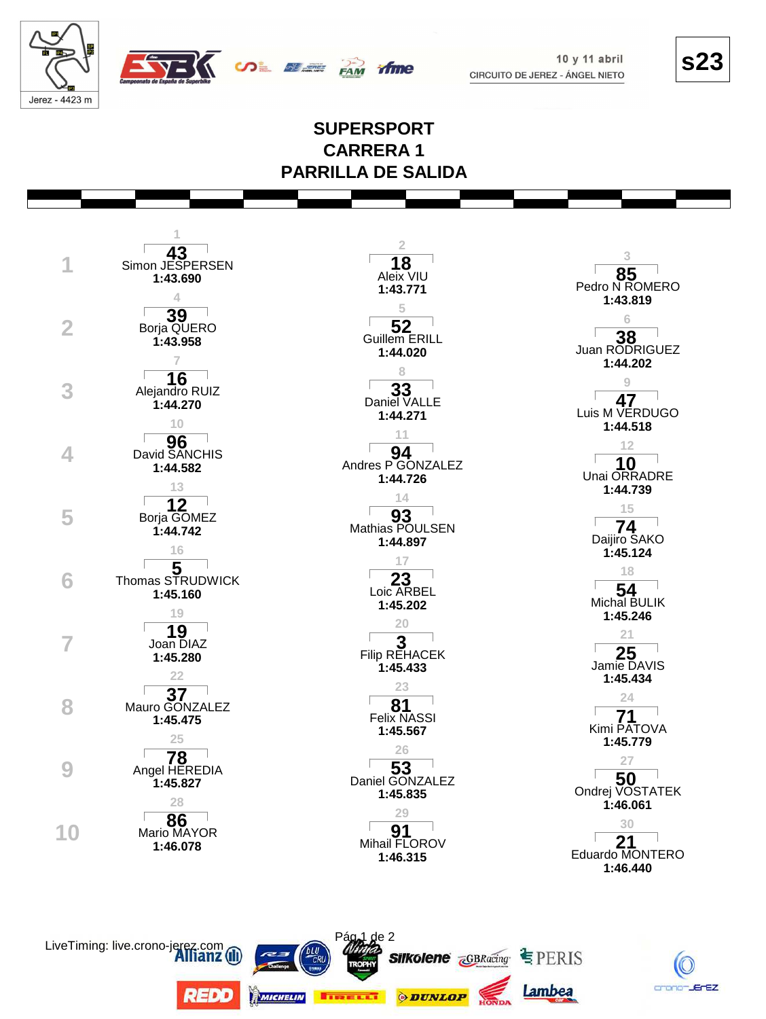

 $10y11$  abril CIRCUITO DE JEREZ - ÁNGEL NIETO **s23** 

K crano-JErEZ

Lambea

*ODUNLOP* 

## **SUPERSPORT CARRERA1 PARRILLA DE SALIDA**

fime

**SALE SERVICE** 

|    |                                   | 2                                                                               |                                         |
|----|-----------------------------------|---------------------------------------------------------------------------------|-----------------------------------------|
|    | 43<br>Simon JESPERSEN<br>1:43.690 | 18<br>Aleix VIU<br>1:43.771                                                     | 3<br>Pedro N ROMERO                     |
|    | 39                                | 5<br>52                                                                         | 1:43.819<br>6                           |
|    | Borja QUERO<br>1:43.958           | <b>Guillem ERILL</b><br>1:44.020                                                | 38<br>Juan RODRIGUEZ<br>1:44.202        |
|    | 16<br>Alejandro RUIZ              | 8<br>33                                                                         | 9<br>47                                 |
|    | 1:44.270<br>10                    | Daniel VALLE<br>1:44.271<br>11                                                  | Luis M VERDUGO<br>1:44.518              |
|    | 96<br>David SANCHIS<br>1:44.582   | 94<br>Andres P GONZALEZ                                                         | 12<br>10<br>Unai ORRADRE                |
|    | 13<br>12                          | 1:44.726<br>14                                                                  | 1:44.739<br>15                          |
| 5  | Borja GOMEZ<br>1:44.742<br>16     | 93<br>Mathias POULSEN<br>1:44.897                                               | 74<br>Daijiro SAKO<br>1:45.124          |
| h  | Thomas STRUDWICK                  | 17<br>23                                                                        | 18<br>54                                |
|    | 1:45.160<br>19                    | Loic ARBEL<br>1:45.202<br>20                                                    | Michal BULIK<br>1:45.246                |
|    | $19$<br>Joan DIAZ<br>1:45.280     | $\overline{\phantom{a}}^{\mathsf{I}}$ Filip REHACEK<br>1:45.433                 | 21<br>25<br>Jamie DAVIS                 |
|    | 22<br>Mauro GONZALEZ              | 23<br>81                                                                        | 1:45.434<br>24                          |
|    | 1:45.475<br>25                    | <b>Felix NASSI</b><br>1:45.567                                                  | Kimi PATOVA<br>1:45.779                 |
|    | 78<br>Angel HEREDIA<br>1:45.827   | 26<br>Daniel GONZALEZ                                                           | 27                                      |
|    | 28<br>86                          | 1:45.835<br>29                                                                  | Ondrej VOSTATEK<br>1:46.061             |
| 10 | Mario MAYOR<br>1:46.078           | 91<br>Mihail FLOROV<br>1:46.315                                                 | 30<br>21<br>Eduardo MONTERO<br>1:46.440 |
|    |                                   |                                                                                 |                                         |
|    | LiveTiming: live.crono-jerez.com  | Pág <sub>1</sub> de 2<br><b>Silkolene <i><u>GBRacing</u></i></b> • PERIS<br>cru |                                         |

**REDD** 

MICHELIN

**TIRELLY**